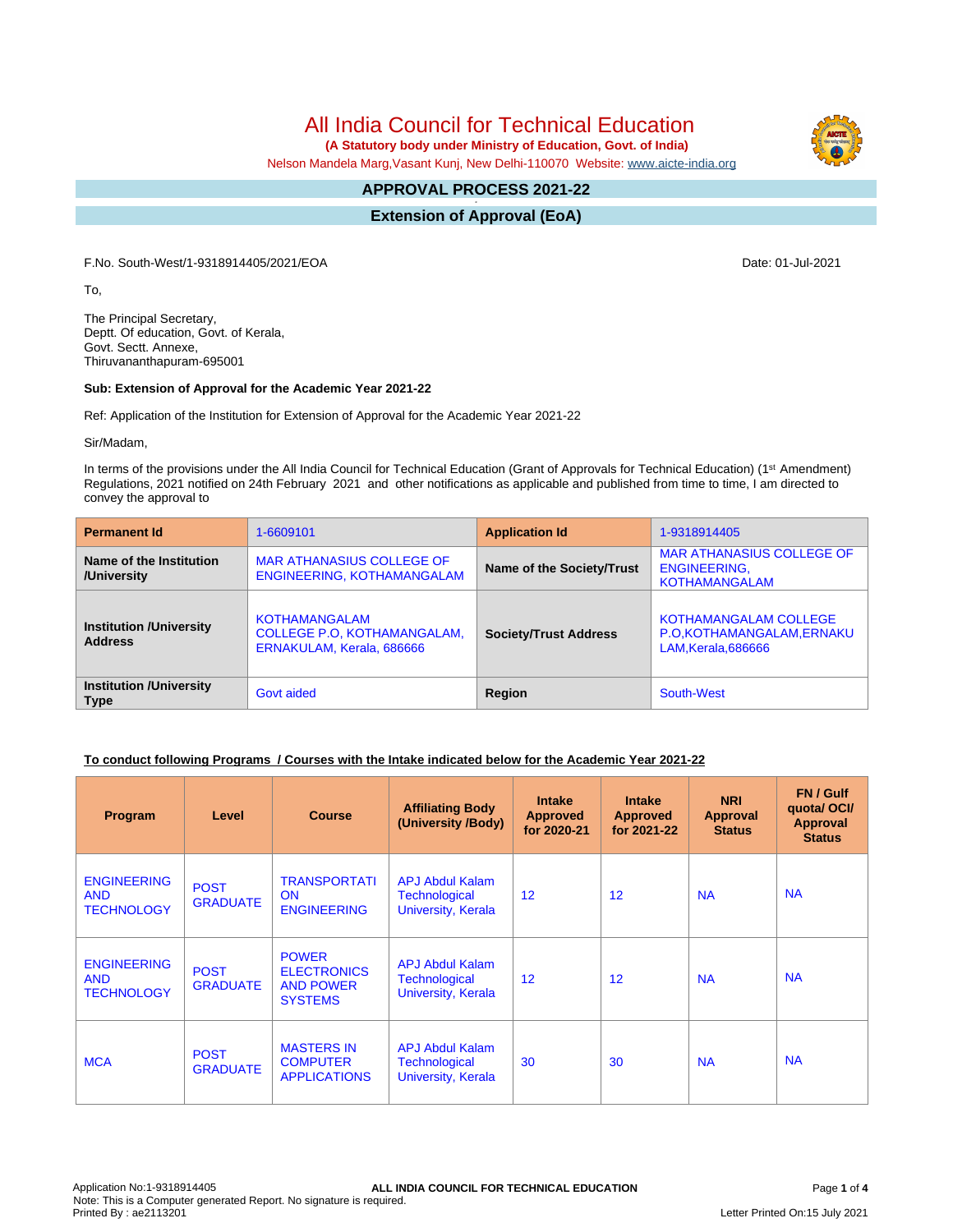All India Council for Technical Education

 **(A Statutory body under Ministry of Education, Govt. of India)**

Nelson Mandela Marg,Vasant Kunj, New Delhi-110070 Website: [www.aicte-india.org](http://www.aicte-india.org)

#### **APPROVAL PROCESS 2021-22 -**

**Extension of Approval (EoA)**

F.No. South-West/1-9318914405/2021/EOA Date: 01-Jul-2021

To,

The Principal Secretary, Deptt. Of education, Govt. of Kerala, Govt. Sectt. Annexe, Thiruvananthapuram-695001

#### **Sub: Extension of Approval for the Academic Year 2021-22**

Ref: Application of the Institution for Extension of Approval for the Academic Year 2021-22

Sir/Madam,

In terms of the provisions under the All India Council for Technical Education (Grant of Approvals for Technical Education) (1<sup>st</sup> Amendment) Regulations, 2021 notified on 24th February 2021 and other notifications as applicable and published from time to time, I am directed to convey the approval to

| <b>Permanent Id</b>                              | 1-6609101                                                                               | <b>Application Id</b>        | 1-9318914405                                                                     |  |
|--------------------------------------------------|-----------------------------------------------------------------------------------------|------------------------------|----------------------------------------------------------------------------------|--|
| Name of the Institution<br>/University           | <b>MAR ATHANASIUS COLLEGE OF</b><br>ENGINEERING, KOTHAMANGALAM                          | Name of the Society/Trust    | <b>MAR ATHANASIUS COLLEGE OF</b><br><b>ENGINEERING,</b><br><b>KOTHAMANGALAM</b>  |  |
| <b>Institution /University</b><br><b>Address</b> | <b>KOTHAMANGALAM</b><br><b>COLLEGE P.O. KOTHAMANGALAM.</b><br>ERNAKULAM, Kerala, 686666 | <b>Society/Trust Address</b> | <b>KOTHAMANGALAM COLLEGE</b><br>P.O.KOTHAMANGALAM, ERNAKU<br>LAM, Kerala, 686666 |  |
| <b>Institution /University</b><br><b>Type</b>    | Govt aided                                                                              | Region                       | South-West                                                                       |  |

## **To conduct following Programs / Courses with the Intake indicated below for the Academic Year 2021-22**

| Program                                               | Level                          | <b>Course</b>                                                            | <b>Affiliating Body</b><br>(University /Body)                        | <b>Intake</b><br><b>Approved</b><br>for 2020-21 | <b>Intake</b><br><b>Approved</b><br>for 2021-22 | <b>NRI</b><br>Approval<br><b>Status</b> | FN / Gulf<br>quotal OCI/<br><b>Approval</b><br><b>Status</b> |
|-------------------------------------------------------|--------------------------------|--------------------------------------------------------------------------|----------------------------------------------------------------------|-------------------------------------------------|-------------------------------------------------|-----------------------------------------|--------------------------------------------------------------|
| <b>ENGINEERING</b><br><b>AND</b><br><b>TECHNOLOGY</b> | <b>POST</b><br><b>GRADUATE</b> | <b>TRANSPORTATI</b><br><b>ON</b><br><b>ENGINEERING</b>                   | <b>APJ Abdul Kalam</b><br>Technological<br>University, Kerala        | 12                                              | 12                                              | <b>NA</b>                               | <b>NA</b>                                                    |
| <b>ENGINEERING</b><br><b>AND</b><br><b>TECHNOLOGY</b> | <b>POST</b><br><b>GRADUATE</b> | <b>POWER</b><br><b>ELECTRONICS</b><br><b>AND POWER</b><br><b>SYSTEMS</b> | <b>APJ Abdul Kalam</b><br><b>Technological</b><br>University, Kerala | 12                                              | 12                                              | <b>NA</b>                               | <b>NA</b>                                                    |
| <b>MCA</b>                                            | <b>POST</b><br><b>GRADUATE</b> | <b>MASTERS IN</b><br><b>COMPUTER</b><br><b>APPLICATIONS</b>              | <b>APJ Abdul Kalam</b><br>Technological<br>University, Kerala        | 30                                              | 30                                              | <b>NA</b>                               | <b>NA</b>                                                    |

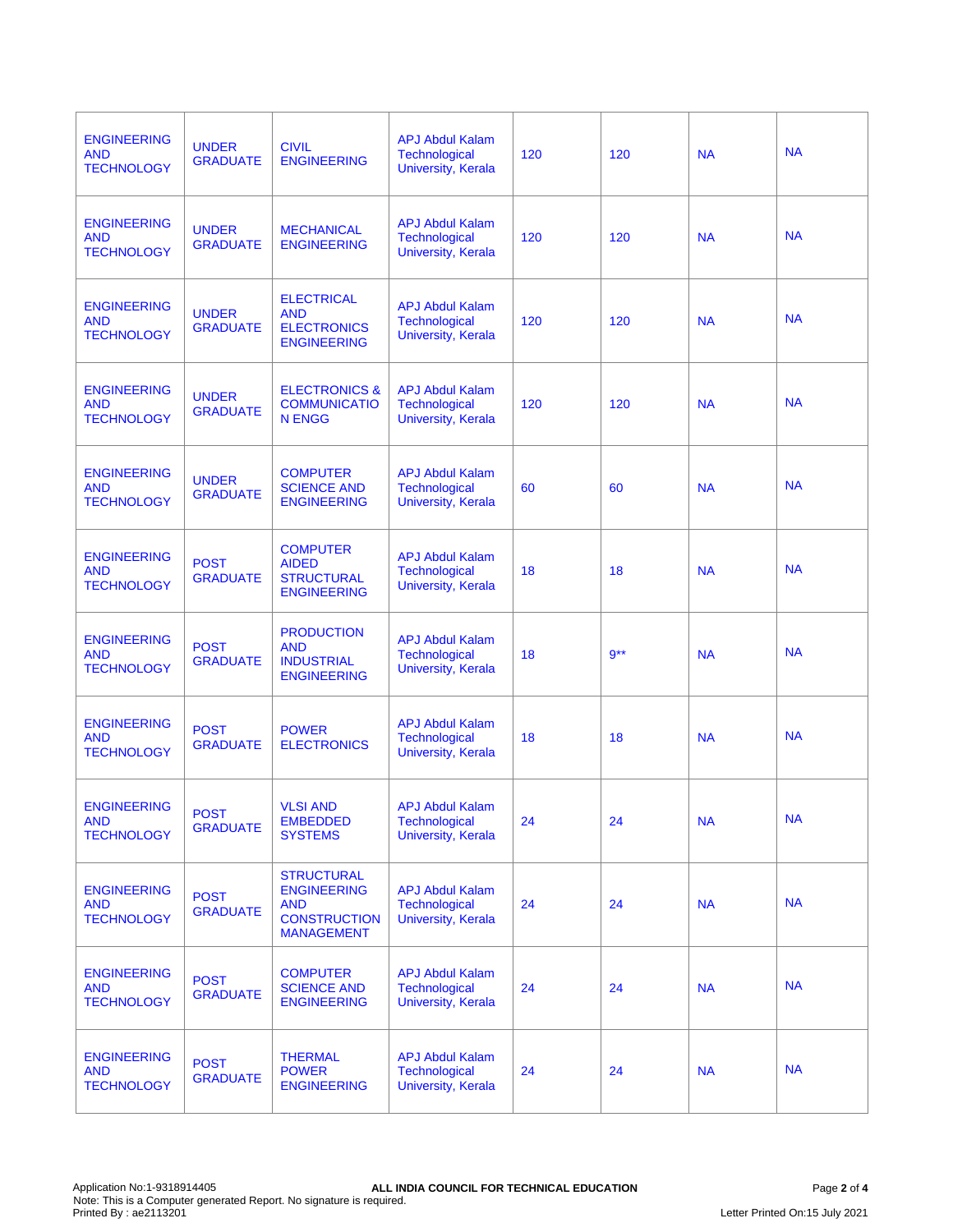| <b>ENGINEERING</b><br><b>AND</b><br><b>TECHNOLOGY</b> | <b>UNDER</b><br><b>GRADUATE</b> | <b>CIVIL</b><br><b>ENGINEERING</b>                                                                | <b>APJ Abdul Kalam</b><br><b>Technological</b><br>University, Kerala        | 120 | 120    | <b>NA</b> | <b>NA</b> |
|-------------------------------------------------------|---------------------------------|---------------------------------------------------------------------------------------------------|-----------------------------------------------------------------------------|-----|--------|-----------|-----------|
| <b>ENGINEERING</b><br><b>AND</b><br><b>TECHNOLOGY</b> | <b>UNDER</b><br><b>GRADUATE</b> | <b>MECHANICAL</b><br><b>ENGINEERING</b>                                                           | <b>APJ Abdul Kalam</b><br><b>Technological</b><br><b>University, Kerala</b> | 120 | 120    | <b>NA</b> | <b>NA</b> |
| <b>ENGINEERING</b><br><b>AND</b><br><b>TECHNOLOGY</b> | <b>UNDER</b><br><b>GRADUATE</b> | <b>ELECTRICAL</b><br><b>AND</b><br><b>ELECTRONICS</b><br><b>ENGINEERING</b>                       | <b>APJ Abdul Kalam</b><br><b>Technological</b><br>University, Kerala        | 120 | 120    | <b>NA</b> | <b>NA</b> |
| <b>ENGINEERING</b><br><b>AND</b><br><b>TECHNOLOGY</b> | <b>UNDER</b><br><b>GRADUATE</b> | <b>ELECTRONICS &amp;</b><br><b>COMMUNICATIO</b><br><b>N ENGG</b>                                  | <b>APJ Abdul Kalam</b><br>Technological<br>University, Kerala               | 120 | 120    | <b>NA</b> | <b>NA</b> |
| <b>ENGINEERING</b><br><b>AND</b><br><b>TECHNOLOGY</b> | <b>UNDER</b><br><b>GRADUATE</b> | <b>COMPUTER</b><br><b>SCIENCE AND</b><br><b>ENGINEERING</b>                                       | <b>APJ Abdul Kalam</b><br>Technological<br>University, Kerala               | 60  | 60     | <b>NA</b> | <b>NA</b> |
| <b>ENGINEERING</b><br><b>AND</b><br><b>TECHNOLOGY</b> | <b>POST</b><br><b>GRADUATE</b>  | <b>COMPUTER</b><br><b>AIDED</b><br><b>STRUCTURAL</b><br><b>ENGINEERING</b>                        | <b>APJ Abdul Kalam</b><br>Technological<br>University, Kerala               | 18  | 18     | <b>NA</b> | <b>NA</b> |
| <b>ENGINEERING</b><br><b>AND</b><br><b>TECHNOLOGY</b> | <b>POST</b><br><b>GRADUATE</b>  | <b>PRODUCTION</b><br><b>AND</b><br><b>INDUSTRIAL</b><br><b>ENGINEERING</b>                        | <b>APJ Abdul Kalam</b><br>Technological<br>University, Kerala               | 18  | $9***$ | <b>NA</b> | <b>NA</b> |
| <b>ENGINEERING</b><br><b>AND</b><br><b>TECHNOLOGY</b> | <b>POST</b><br><b>GRADUATE</b>  | <b>POWER</b><br><b>ELECTRONICS</b>                                                                | <b>APJ Abdul Kalam</b><br><b>Technological</b><br>University, Kerala        | 18  | 18     | <b>NA</b> | <b>NA</b> |
| <b>ENGINEERING</b><br><b>AND</b><br><b>TECHNOLOGY</b> | <b>POST</b><br><b>GRADUATE</b>  | <b>VLSI AND</b><br><b>EMBEDDED</b><br><b>SYSTEMS</b>                                              | <b>APJ Abdul Kalam</b><br>Technological<br>University, Kerala               | 24  | 24     | <b>NA</b> | <b>NA</b> |
| <b>ENGINEERING</b><br><b>AND</b><br><b>TECHNOLOGY</b> | <b>POST</b><br><b>GRADUATE</b>  | <b>STRUCTURAL</b><br><b>ENGINEERING</b><br><b>AND</b><br><b>CONSTRUCTION</b><br><b>MANAGEMENT</b> | <b>APJ Abdul Kalam</b><br>Technological<br>University, Kerala               | 24  | 24     | <b>NA</b> | <b>NA</b> |
| <b>ENGINEERING</b><br><b>AND</b><br><b>TECHNOLOGY</b> | <b>POST</b><br><b>GRADUATE</b>  | <b>COMPUTER</b><br><b>SCIENCE AND</b><br><b>ENGINEERING</b>                                       | <b>APJ Abdul Kalam</b><br>Technological<br>University, Kerala               | 24  | 24     | <b>NA</b> | <b>NA</b> |
| <b>ENGINEERING</b><br><b>AND</b><br><b>TECHNOLOGY</b> | <b>POST</b><br><b>GRADUATE</b>  | <b>THERMAL</b><br><b>POWER</b><br><b>ENGINEERING</b>                                              | <b>APJ Abdul Kalam</b><br>Technological<br>University, Kerala               | 24  | 24     | <b>NA</b> | <b>NA</b> |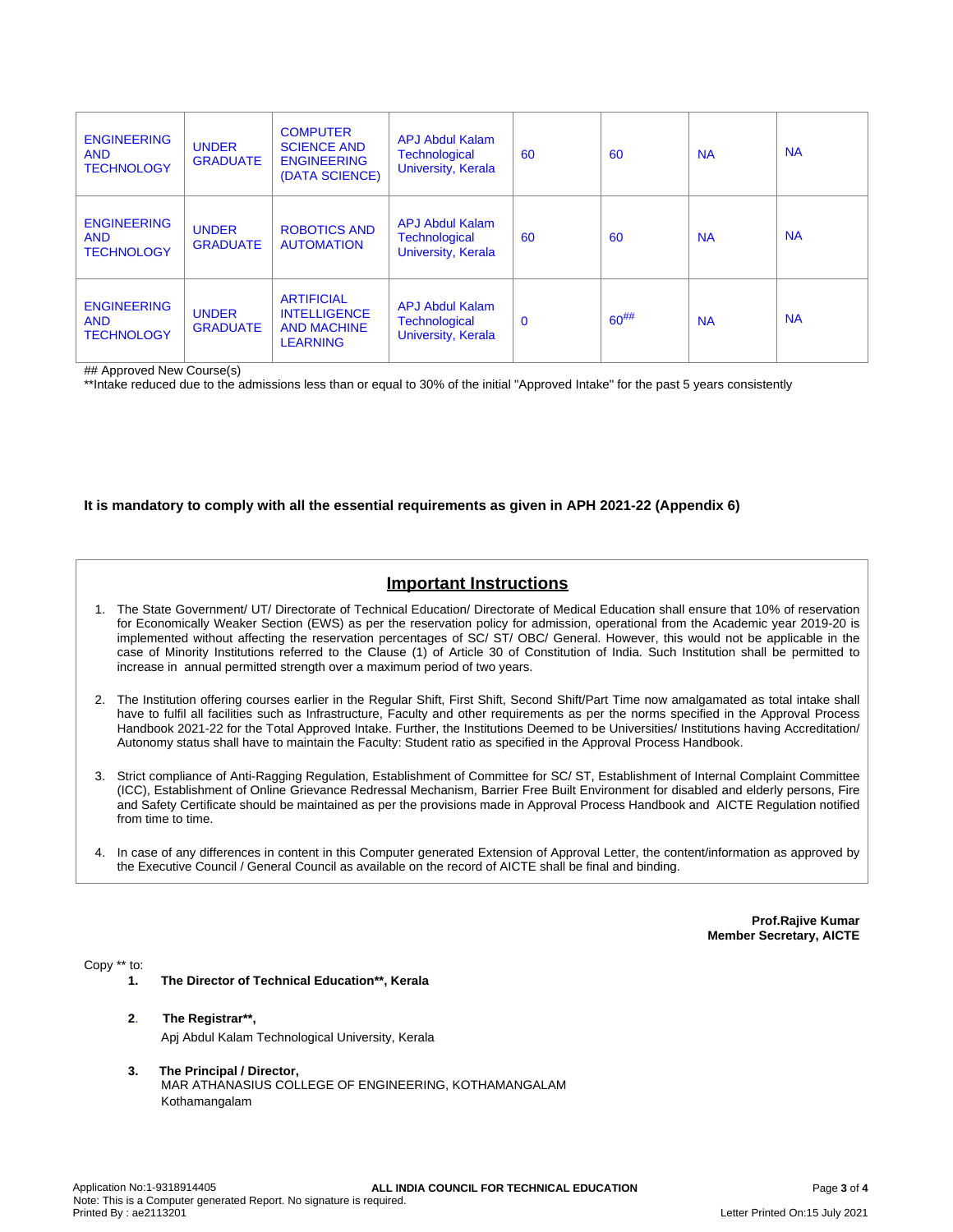| <b>ENGINEERING</b><br><b>AND</b><br><b>TECHNOLOGY</b> | <b>UNDER</b><br><b>GRADUATE</b> | <b>COMPUTER</b><br><b>SCIENCE AND</b><br><b>ENGINEERING</b><br>(DATA SCIENCE)     | <b>APJ Abdul Kalam</b><br><b>Technological</b><br>University, Kerala | 60           | 60        | <b>NA</b> | <b>NA</b> |
|-------------------------------------------------------|---------------------------------|-----------------------------------------------------------------------------------|----------------------------------------------------------------------|--------------|-----------|-----------|-----------|
| <b>ENGINEERING</b><br><b>AND</b><br><b>TECHNOLOGY</b> | <b>UNDER</b><br><b>GRADUATE</b> | <b>ROBOTICS AND</b><br><b>AUTOMATION</b>                                          | <b>APJ Abdul Kalam</b><br><b>Technological</b><br>University, Kerala | 60           | 60        | <b>NA</b> | <b>NA</b> |
| <b>ENGINEERING</b><br><b>AND</b><br><b>TECHNOLOGY</b> | <b>UNDER</b><br><b>GRADUATE</b> | <b>ARTIFICIAL</b><br><b>INTELLIGENCE</b><br><b>AND MACHINE</b><br><b>LEARNING</b> | <b>APJ Abdul Kalam</b><br><b>Technological</b><br>University, Kerala | $\mathbf{0}$ | $60^{##}$ | <b>NA</b> | <b>NA</b> |

## Approved New Course(s)

\*\*Intake reduced due to the admissions less than or equal to 30% of the initial "Approved Intake" for the past 5 years consistently

### **It is mandatory to comply with all the essential requirements as given in APH 2021-22 (Appendix 6)**

# **Important Instructions**

- 1. The State Government/ UT/ Directorate of Technical Education/ Directorate of Medical Education shall ensure that 10% of reservation for Economically Weaker Section (EWS) as per the reservation policy for admission, operational from the Academic year 2019-20 is implemented without affecting the reservation percentages of SC/ ST/ OBC/ General. However, this would not be applicable in the case of Minority Institutions referred to the Clause (1) of Article 30 of Constitution of India. Such Institution shall be permitted to increase in annual permitted strength over a maximum period of two years.
- 2. The Institution offering courses earlier in the Regular Shift, First Shift, Second Shift/Part Time now amalgamated as total intake shall have to fulfil all facilities such as Infrastructure, Faculty and other requirements as per the norms specified in the Approval Process Handbook 2021-22 for the Total Approved Intake. Further, the Institutions Deemed to be Universities/ Institutions having Accreditation/ Autonomy status shall have to maintain the Faculty: Student ratio as specified in the Approval Process Handbook.
- 3. Strict compliance of Anti-Ragging Regulation, Establishment of Committee for SC/ ST, Establishment of Internal Complaint Committee (ICC), Establishment of Online Grievance Redressal Mechanism, Barrier Free Built Environment for disabled and elderly persons, Fire and Safety Certificate should be maintained as per the provisions made in Approval Process Handbook and AICTE Regulation notified from time to time.
- 4. In case of any differences in content in this Computer generated Extension of Approval Letter, the content/information as approved by the Executive Council / General Council as available on the record of AICTE shall be final and binding.

**Prof.Rajive Kumar Member Secretary, AICTE**

Copy \*\* to:

- **1. The Director of Technical Education\*\*, Kerala**
- **2**. **The Registrar\*\*,** Apj Abdul Kalam Technological University, Kerala
- **3. The Principal / Director,** MAR ATHANASIUS COLLEGE OF ENGINEERING, KOTHAMANGALAM Kothamangalam